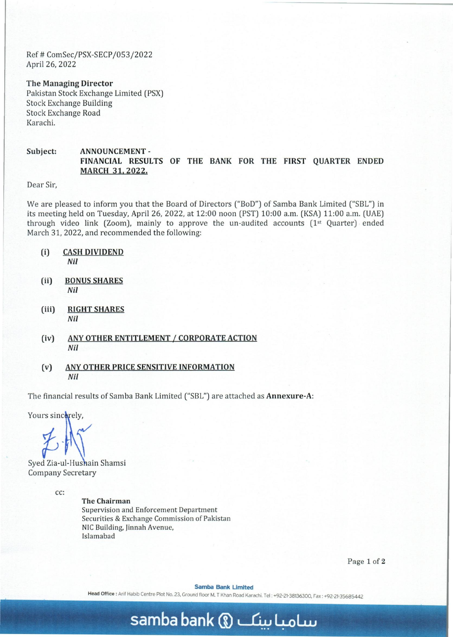Ref # ComSec/PSX-SECP /053/2022 April 26, 2022

**The Managing Director** 

Pakistan Stock Exchange Limited (PSX) Stock Exchange Building Stock Exchange Road Karachi.

### **Subject: ANNOUNCEMENT-FINANCIAL RESULTS OF THE BANK FOR THE FIRST QUARTER ENDED MARCH 31.2022.**

Dear Sir,

We are pleased to inform you that the Board of Directors ("BoD") of Samba Bank Limited ("SBL") in its meeting held on Tuesday, April 26, 2022, at 12:00 noon (PST) 10:00 a.m. (KSA) 11:00 a.m. (UAE) through video link (Zoom), mainly to approve the un-audited accounts (1<sup>st</sup> Quarter) ended March 31, 2022, and recommended the following:

- **(i) CASH DIVIDEND**  *Nil*
- **(ii)** BONUS SHARES *Nil*
- **(iii) RIGHT SHARES**  *Nil*
- **(iv) ANY OTHER ENTITLEMENT / CORPORATE ACTION**  *Nil*
- **(v) ANY OTHER PRICE SENSITIVE INFORMATION**  *Nil*

The financial results of Samba Bank Limited ("SBL") are attached as **Annexure-A:** 

Yours sincerely,

毛巾 E. My<br>Syed Zia-ul-Hushain Shamsi

Company Secretary

cc:

**The Chairman**  Supervision and Enforcement Department Securities & Exchange Commission of Pakistan NIC Building, Jinnah Avenue, Islamabad

Page 1 of 2

#### **Samba Bank Limited**

Head Office: Arif Habib Centre Plot No. 23, Ground floor M. T Khan Road Karachi. Tel: +92-21-38136300, Fax: +92-21-35685442

*- - - ••• - ,... ?:r~, ,,' •* 1"'- - ~~ - - ~.~ ~:''''' \_ \_..., •.....• \_ \_ . • \_

## **u يساميا بينك @ samba bank**